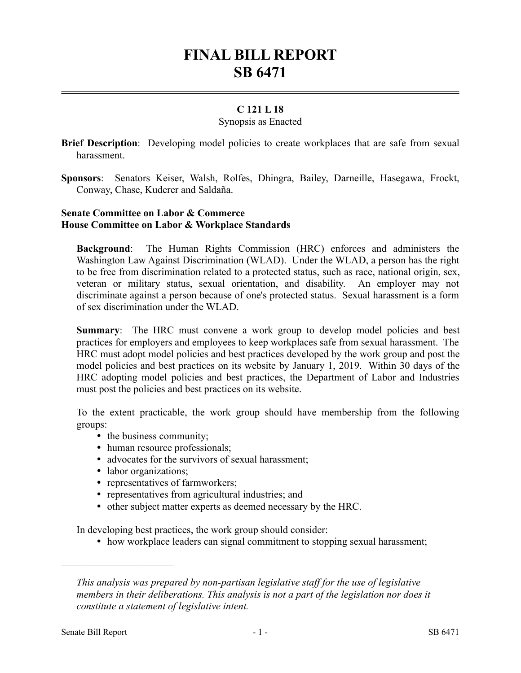# **FINAL BILL REPORT SB 6471**

# **C 121 L 18**

#### Synopsis as Enacted

**Brief Description**: Developing model policies to create workplaces that are safe from sexual harassment.

**Sponsors**: Senators Keiser, Walsh, Rolfes, Dhingra, Bailey, Darneille, Hasegawa, Frockt, Conway, Chase, Kuderer and Saldaña.

## **Senate Committee on Labor & Commerce House Committee on Labor & Workplace Standards**

**Background**: The Human Rights Commission (HRC) enforces and administers the Washington Law Against Discrimination (WLAD). Under the WLAD, a person has the right to be free from discrimination related to a protected status, such as race, national origin, sex, veteran or military status, sexual orientation, and disability. An employer may not discriminate against a person because of one's protected status. Sexual harassment is a form of sex discrimination under the WLAD.

**Summary:** The HRC must convene a work group to develop model policies and best practices for employers and employees to keep workplaces safe from sexual harassment. The HRC must adopt model policies and best practices developed by the work group and post the model policies and best practices on its website by January 1, 2019. Within 30 days of the HRC adopting model policies and best practices, the Department of Labor and Industries must post the policies and best practices on its website.

To the extent practicable, the work group should have membership from the following groups:

- the business community;
- human resource professionals;
- advocates for the survivors of sexual harassment;
- labor organizations;
- representatives of farmworkers;
- representatives from agricultural industries; and
- other subject matter experts as deemed necessary by the HRC.

In developing best practices, the work group should consider:

• how workplace leaders can signal commitment to stopping sexual harassment;

––––––––––––––––––––––

*This analysis was prepared by non-partisan legislative staff for the use of legislative members in their deliberations. This analysis is not a part of the legislation nor does it constitute a statement of legislative intent.*